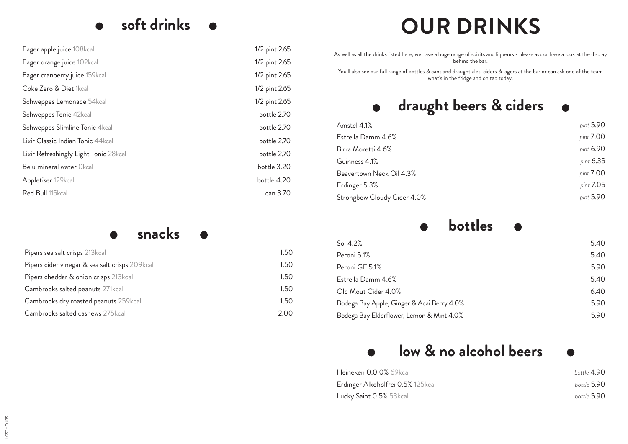# **soft drinks**  $\bullet$

| Eager apple juice 108kcal             | 1/2 pint 2.65 |
|---------------------------------------|---------------|
| Eager orange juice 102kcal            | 1/2 pint 2.65 |
| Eager cranberry juice 159kcal         | 1/2 pint 2.65 |
| Coke Zero & Diet 1kcal                | 1/2 pint 2.65 |
| Schweppes Lemonade 54kcal             | 1/2 pint 2.65 |
| Schweppes Tonic 42kcal                | bottle 2.70   |
| Schweppes Slimline Tonic 4kcal        | bottle 2.70   |
| Lixir Classic Indian Tonic 44kcal     | bottle 2.70   |
| Lixir Refreshingly Light Tonic 28kcal | bottle 2.70   |
| Belu mineral water Okcal              | bottle 3.20   |
| Appletiser 129kcal                    | bottle 4.20   |
| Red Bull 115kcal                      | can 3.70      |

### **snacks**  $\bullet$

| Pipers sea salt crisps 213kcal                 | 1.50 |
|------------------------------------------------|------|
| Pipers cider vinegar & sea salt crisps 209kcal | 1.50 |
| Pipers cheddar & onion crisps 213kcal          | 1.50 |
| Cambrooks salted peanuts 271kcal               | 1.50 |
| Cambrooks dry roasted peanuts 259kcal          | 1.50 |
| Cambrooks salted cashews 275kcal               | 2.00 |

# **OUR DRINKS**

As well as all the drinks listed here, we have a huge range of spirits and liqueurs - please ask or have a look at the display behind the bar.

You'll also see our full range of bottles & cans and draught ales, ciders & lagers at the bar or can ask one of the team what's in the fridge and on tap today.

# **draught beers & ciders**  $\bullet$

| Amstel 4.1%                 | pint 5.90 |
|-----------------------------|-----------|
| Estrella Damm 4.6%          | pint 7.00 |
| Birra Moretti 4.6%          | pint 6.90 |
| Guinness 4.1%               | pint 6.35 |
| Beavertown Neck Oil 4.3%    | pint 7.00 |
| Erdinger 5.3%               | pint 7.05 |
| Strongbow Cloudy Cider 4.0% | pint 5.90 |
|                             |           |

#### **bottles**  $\bullet$  $\bullet$

| Sol $4.2%$                                 | 5.40 |
|--------------------------------------------|------|
| Peroni 5.1%                                | 5.40 |
| Peroni GF 5.1%                             | 5.90 |
| Estrella Damm 4.6%                         | 5.40 |
| Old Mout Cider 4.0%                        | 6.40 |
| Bodega Bay Apple, Ginger & Acai Berry 4.0% | 5.90 |
| Bodega Bay Elderflower, Lemon & Mint 4.0%  | 5.90 |

# **low & no alcohol beers**   $\bullet$

| Heineken 0.0 0% 69kcal            | bottle 4.90 |
|-----------------------------------|-------------|
| Erdinger Alkoholfrei 0.5% 125kcal | bottle 5.90 |
| Lucky Saint 0.5% 53kcal           | bottle 5.90 |